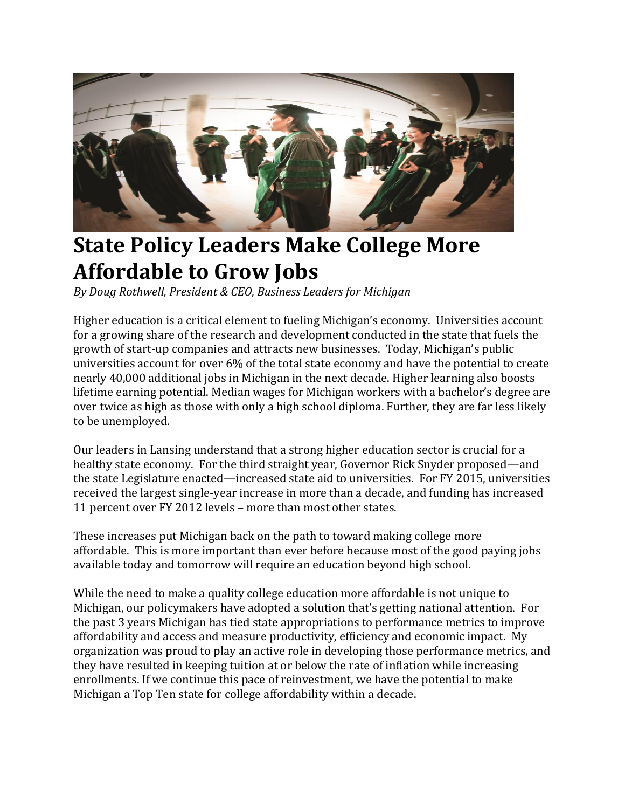

## **State Policy Leaders Make College More Affordable to Grow Jobs**

*By Doug Rothwell, President & CEO, Business Leaders for Michigan*

Higher education is a critical element to fueling Michigan's economy. Universities account for a growing share of the research and development conducted in the state that fuels the growth of start-up companies and attracts new businesses. Today, Michigan's public universities account for over 6% of the total state economy and have the potential to create nearly 40,000 additional jobs in Michigan in the next decade. Higher learning also boosts lifetime earning potential. Median wages for Michigan workers with a bachelor's degree are over twice as high as those with only a high school diploma. Further, they are far less likely to be unemployed.

Our leaders in Lansing understand that a strong higher education sector is crucial for a healthy state economy. For the third straight year, Governor Rick Snyder proposed—and the state Legislature enacted—increased state aid to universities. For FY 2015, universities received the largest single-year increase in more than a decade, and funding has increased 11 percent over FY 2012 levels – more than most other states.

These increases put Michigan back on the path to toward making college more affordable. This is more important than ever before because most of the good paying jobs available today and tomorrow will require an education beyond high school.

While the need to make a quality college education more affordable is not unique to Michigan, our policymakers have adopted a solution that's getting national attention. For the past 3 years Michigan has tied state appropriations to performance metrics to improve affordability and access and measure productivity, efficiency and economic impact. My organization was proud to play an active role in developing those performance metrics, and they have resulted in keeping tuition at or below the rate of inflation while increasing enrollments. If we continue this pace of reinvestment, we have the potential to make Michigan a Top Ten state for college affordability within a decade.